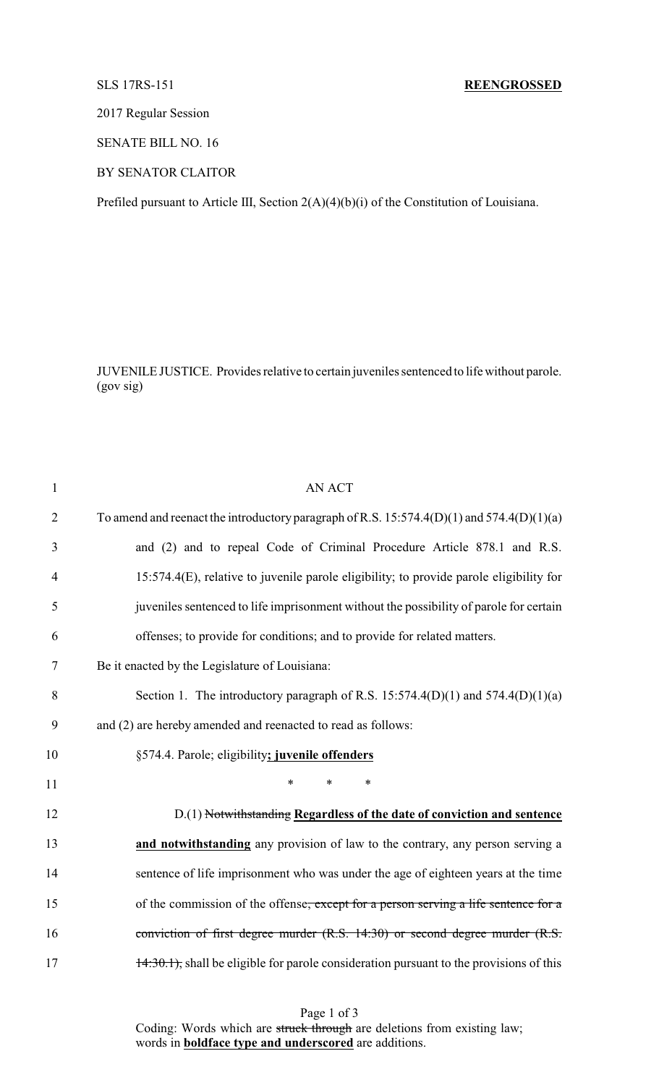# SLS 17RS-151 **REENGROSSED**

2017 Regular Session

SENATE BILL NO. 16

BY SENATOR CLAITOR

Prefiled pursuant to Article III, Section 2(A)(4)(b)(i) of the Constitution of Louisiana.

JUVENILE JUSTICE. Provides relative to certain juveniles sentenced to life without parole. (gov sig)

| $\mathbf{1}$   | <b>AN ACT</b>                                                                             |
|----------------|-------------------------------------------------------------------------------------------|
| $\overline{2}$ | To amend and reenact the introductory paragraph of R.S. 15:574.4(D)(1) and 574.4(D)(1)(a) |
| 3              | and (2) and to repeal Code of Criminal Procedure Article 878.1 and R.S.                   |
| $\overline{4}$ | 15:574.4(E), relative to juvenile parole eligibility; to provide parole eligibility for   |
| 5              | juveniles sentenced to life imprisonment without the possibility of parole for certain    |
| 6              | offenses; to provide for conditions; and to provide for related matters.                  |
| 7              | Be it enacted by the Legislature of Louisiana:                                            |
| 8              | Section 1. The introductory paragraph of R.S. 15:574.4(D)(1) and 574.4(D)(1)(a)           |
| 9              | and (2) are hereby amended and reenacted to read as follows:                              |
| 10             | §574.4. Parole; eligibility; juvenile offenders                                           |
| 11             | $\ast$<br>$\ast$<br>*                                                                     |
| 12             | D.(1) Notwithstanding Regardless of the date of conviction and sentence                   |
| 13             | and notwithstanding any provision of law to the contrary, any person serving a            |
| 14             | sentence of life imprisonment who was under the age of eighteen years at the time         |
| 15             | of the commission of the offense, except for a person serving a life sentence for a       |
| 16             | conviction of first degree murder (R.S. 14:30) or second degree murder (R.S.              |
| 17             | 14:30.1), shall be eligible for parole consideration pursuant to the provisions of this   |
|                |                                                                                           |

Page 1 of 3 Coding: Words which are struck through are deletions from existing law; words in **boldface type and underscored** are additions.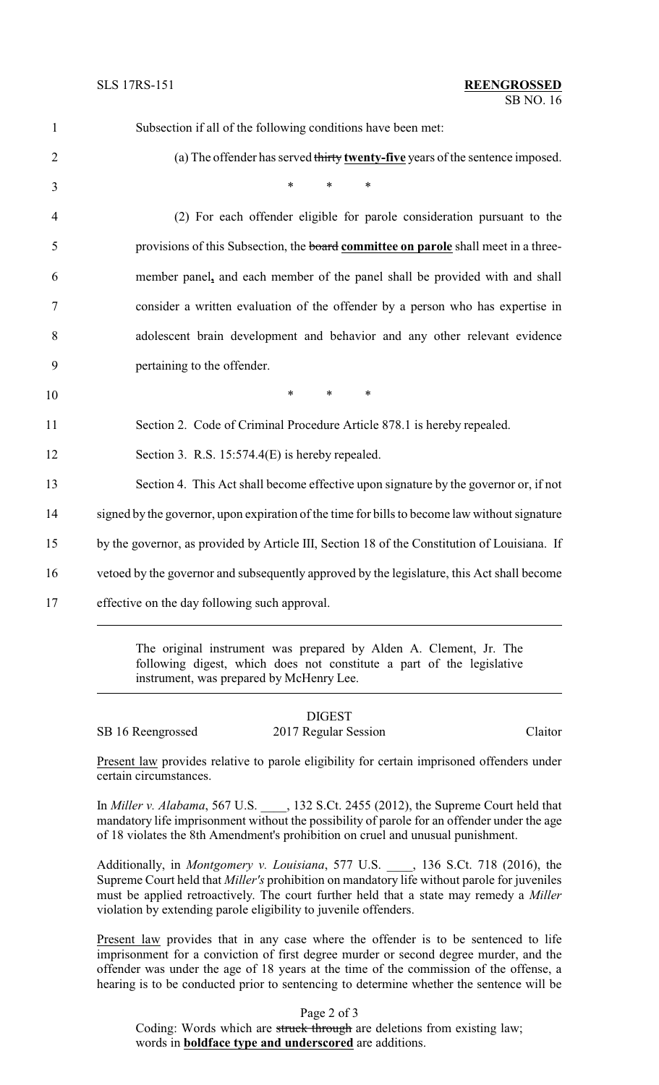| $\mathbf{1}$   | Subsection if all of the following conditions have been met:                                  |
|----------------|-----------------------------------------------------------------------------------------------|
| $\overline{2}$ | (a) The offender has served thirty twenty-five years of the sentence imposed.                 |
| 3              | $\ast$<br>$\ast$<br>∗                                                                         |
| 4              | (2) For each offender eligible for parole consideration pursuant to the                       |
| 5              | provisions of this Subsection, the board committee on parole shall meet in a three-           |
| 6              | member panel, and each member of the panel shall be provided with and shall                   |
| $\tau$         | consider a written evaluation of the offender by a person who has expertise in                |
| 8              | adolescent brain development and behavior and any other relevant evidence                     |
| 9              | pertaining to the offender.                                                                   |
| 10             | $\ast$<br>$\ast$<br>$\ast$                                                                    |
| 11             | Section 2. Code of Criminal Procedure Article 878.1 is hereby repealed.                       |
| 12             | Section 3. R.S. 15:574.4(E) is hereby repealed.                                               |
| 13             | Section 4. This Act shall become effective upon signature by the governor or, if not          |
| 14             | signed by the governor, upon expiration of the time for bills to become law without signature |
| 15             | by the governor, as provided by Article III, Section 18 of the Constitution of Louisiana. If  |
| 16             | vetoed by the governor and subsequently approved by the legislature, this Act shall become    |
| 17             | effective on the day following such approval.                                                 |
|                |                                                                                               |

The original instrument was prepared by Alden A. Clement, Jr. The following digest, which does not constitute a part of the legislative instrument, was prepared by McHenry Lee.

DIGEST SB 16 Reengrossed 2017 Regular Session Claitor

Present law provides relative to parole eligibility for certain imprisoned offenders under certain circumstances.

In *Miller v. Alabama*, 567 U.S.  $\qquad$ , 132 S.Ct. 2455 (2012), the Supreme Court held that mandatory life imprisonment without the possibility of parole for an offender under the age of 18 violates the 8th Amendment's prohibition on cruel and unusual punishment.

Additionally, in *Montgomery v. Louisiana*, 577 U.S. \_\_\_\_, 136 S.Ct. 718 (2016), the Supreme Court held that *Miller's* prohibition on mandatory life without parole for juveniles must be applied retroactively. The court further held that a state may remedy a *Miller* violation by extending parole eligibility to juvenile offenders.

Present law provides that in any case where the offender is to be sentenced to life imprisonment for a conviction of first degree murder or second degree murder, and the offender was under the age of 18 years at the time of the commission of the offense, a hearing is to be conducted prior to sentencing to determine whether the sentence will be

Page 2 of 3

Coding: Words which are struck through are deletions from existing law; words in **boldface type and underscored** are additions.